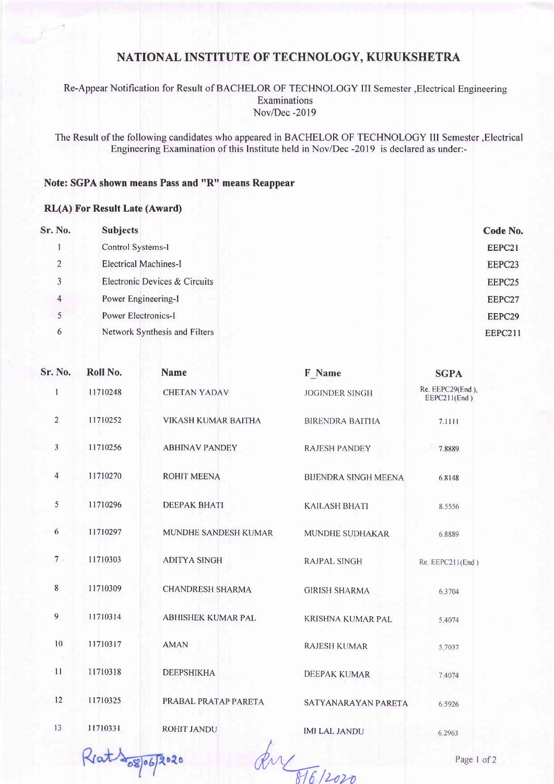# NATIONAL INSTITUTE OF TECHNOLOGY, KURUKSHETRA

### Re-Appear Notification for Result of BACHELOR OF TECHNOLOGY III Semester , Electrical Engineering Examinations Nov/Dec -2019

The Result of the following candidates who appeared in BACHELOR OF TECHNOLOGY III Semester , Electrical Engineering Examination of this Institute held in Nov/Dec -2019 is declared as under:-

## Note: SGPA shown means Pass and "R" means Reappear

#### **RL(A) For Result Late (Award)**

| Sr. No.        | <b>Subjects</b>               | Code No.       |
|----------------|-------------------------------|----------------|
|                | Control Systems-I             | EEPC21         |
| 2              | <b>Electrical Machines-I</b>  | EEPC23         |
| 3              | Electronic Devices & Circuits | EEPC25         |
| $\overline{4}$ | Power Engineering-I           | EEPC27         |
| 5              | Power Electronics-I           | EEPC29         |
| 6              | Network Synthesis and Filters | <b>EEPC211</b> |

| Sr. No.        | Roll No. | <b>Name</b>               | F Name                      | <b>SGPA</b>                      |
|----------------|----------|---------------------------|-----------------------------|----------------------------------|
| $\mathbf{1}$   | 11710248 | <b>CHETAN YADAV</b>       | <b>JOGINDER SINGH</b>       | Re. EEPC29(End),<br>EEPC211(End) |
| $\overline{2}$ | 11710252 | VIKASH KUMAR BAITHA       | <b>BIRENDRA BAITHA</b>      | 7.1111                           |
| $\overline{3}$ | 11710256 | <b>ABHINAV PANDEY</b>     | <b>RAJESH PANDEY</b>        | 7.8889                           |
| 4              | 11710270 | <b>ROHIT MEENA</b>        | <b>BIJENDRA SINGH MEENA</b> | 6.8148                           |
| 5              | 11710296 | <b>DEEPAK BHATI</b>       | <b>KAILASH BHATI</b>        | 8.5556                           |
| 6              | 11710297 | MUNDHE SANDESH KUMAR      | <b>MUNDHE SUDHAKAR</b>      | 6.8889                           |
| $7 -$          | 11710303 | <b>ADITYA SINGH</b>       | <b>RAJPAL SINGH</b>         | $Re$ , $EEPC211(End)$            |
| $8\phantom{.}$ | 11710309 | <b>CHANDRESH SHARMA</b>   | <b>GIRISH SHARMA</b>        | 6.3704                           |
| $\overline{9}$ | 11710314 | <b>ABHISHEK KUMAR PAL</b> | KRISHNA KUMAR PAL           | 5.4074                           |
| 10             | 11710317 | <b>AMAN</b>               | <b>RAJESH KUMAR</b>         | 5.7037                           |
| 11             | 11710318 | <b>DEEPSHIKHA</b>         | <b>DEEPAK KUMAR</b>         | 7.4074                           |
| 12             | 11710325 | PRABAL PRATAP PARETA      | SATYANARAYAN PARETA         | 6.5926                           |
| 13             | 11710331 | ROHIT JANDU               | <b>IMI LAL JANDU</b>        | 6.2963                           |
|                | $-88006$ |                           |                             | Page 1 o                         |
|                |          |                           | 816/2020                    |                                  |

Reat 108/06/2020